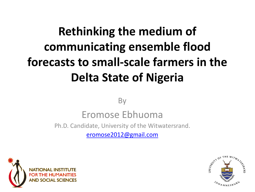## **Rethinking the medium of communicating ensemble flood forecasts to small-scale farmers in the Delta State of Nigeria**

By

#### Eromose Ebhuoma

Ph.D. Candidate, University of the Witwatersrand.

[eromose2012@gmail.com](mailto:eromose2012@gmail.com)



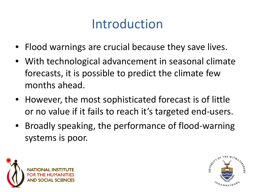## Introduction

- Flood warnings are crucial because they save lives.
- With technological advancement in seasonal climate forecasts, it is possible to predict the climate few months ahead.
- However, the most sophisticated forecast is of little or no value if it fails to reach it's targeted end-users.
- Broadly speaking, the performance of flood-warning systems is poor.



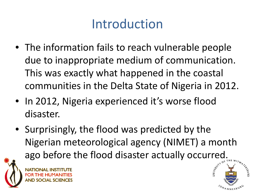# Introduction

- The information fails to reach vulnerable people due to inappropriate medium of communication. This was exactly what happened in the coastal communities in the Delta State of Nigeria in 2012.
- In 2012, Nigeria experienced it's worse flood disaster.
- Surprisingly, the flood was predicted by the Nigerian meteorological agency (NIMET) a month ago before the flood disaster actually occurred.<br>
NATIONAL INSTITUTE<br>
FOR THE HUMANITIES



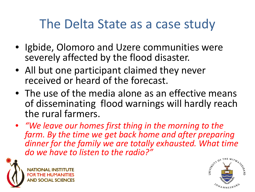### The Delta State as a case study

- Igbide, Olomoro and Uzere communities were severely affected by the flood disaster.
- All but one participant claimed they never received or heard of the forecast.
- The use of the media alone as an effective means of disseminating flood warnings will hardly reach the rural farmers.
- *"We leave our homes first thing in the morning to the farm. By the time we get back home and after preparing dinner for the family we are totally exhausted. What time do we have to listen to the radio?"*



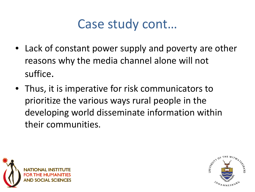#### Case study cont…

- Lack of constant power supply and poverty are other reasons why the media channel alone will not suffice.
- Thus, it is imperative for risk communicators to prioritize the various ways rural people in the developing world disseminate information within their communities.



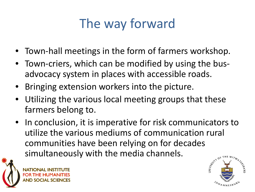# The way forward

- Town-hall meetings in the form of farmers workshop.
- Town-criers, which can be modified by using the busadvocacy system in places with accessible roads.
- Bringing extension workers into the picture.
- Utilizing the various local meeting groups that these farmers belong to.
- In conclusion, it is imperative for risk communicators to utilize the various mediums of communication rural communities have been relying on for decades simultaneously with the media channels.